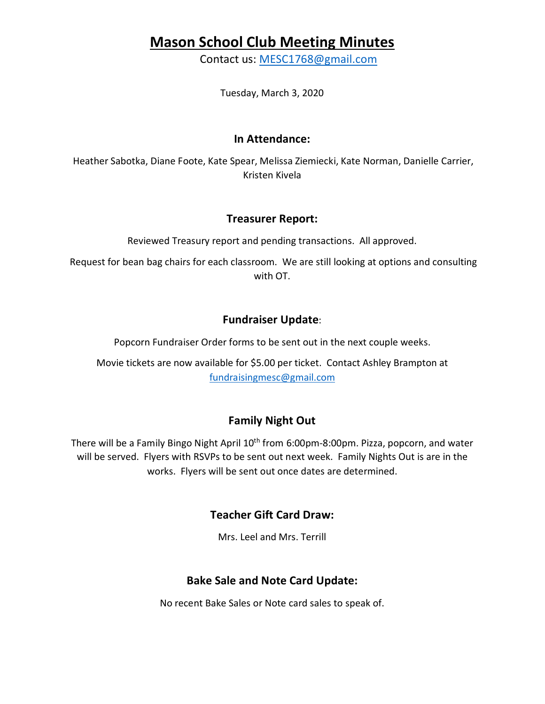# **Mason School Club Meeting Minutes**

Contact us: MESC1768@gmail.com

Tuesday, March 3, 2020

#### **In Attendance:**

Heather Sabotka, Diane Foote, Kate Spear, Melissa Ziemiecki, Kate Norman, Danielle Carrier, Kristen Kivela

#### **Treasurer Report:**

Reviewed Treasury report and pending transactions. All approved.

Request for bean bag chairs for each classroom. We are still looking at options and consulting with OT.

### **Fundraiser Update**:

Popcorn Fundraiser Order forms to be sent out in the next couple weeks.

Movie tickets are now available for \$5.00 per ticket. Contact Ashley Brampton at fundraisingmesc@gmail.com

## **Family Night Out**

There will be a Family Bingo Night April 10<sup>th</sup> from 6:00pm-8:00pm. Pizza, popcorn, and water will be served. Flyers with RSVPs to be sent out next week. Family Nights Out is are in the works. Flyers will be sent out once dates are determined.

### **Teacher Gift Card Draw:**

Mrs. Leel and Mrs. Terrill

### **Bake Sale and Note Card Update:**

No recent Bake Sales or Note card sales to speak of.